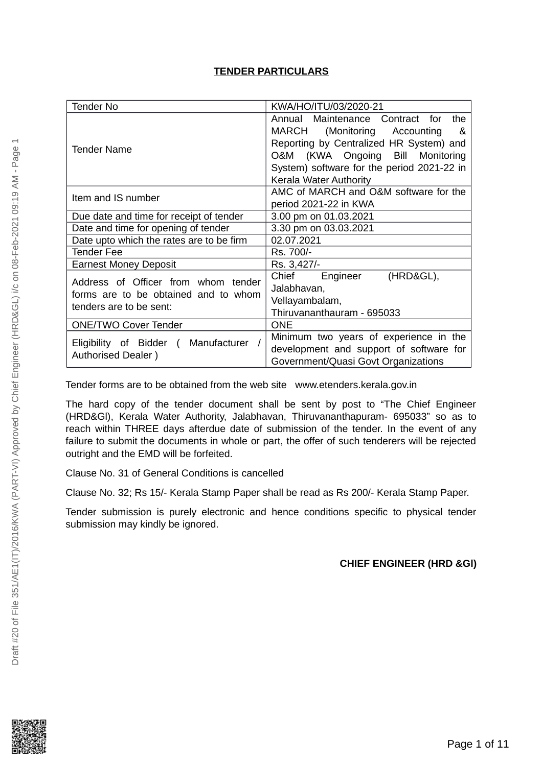### **TENDER PARTICULARS**

| Tender No                                | KWA/HO/ITU/03/2020-21                      |  |  |
|------------------------------------------|--------------------------------------------|--|--|
|                                          | the<br>Annual Maintenance Contract for     |  |  |
|                                          | MARCH (Monitoring Accounting<br>&          |  |  |
| Tender Name                              | Reporting by Centralized HR System) and    |  |  |
|                                          | O&M (KWA Ongoing Bill<br>Monitoring        |  |  |
|                                          | System) software for the period 2021-22 in |  |  |
|                                          | Kerala Water Authority                     |  |  |
| Item and IS number                       | AMC of MARCH and O&M software for the      |  |  |
|                                          | period 2021-22 in KWA                      |  |  |
| Due date and time for receipt of tender  | 3.00 pm on 01.03.2021                      |  |  |
| Date and time for opening of tender      | 3.30 pm on 03.03.2021                      |  |  |
| Date upto which the rates are to be firm | 02.07.2021                                 |  |  |
| Tender Fee                               | Rs. 700/-                                  |  |  |
| <b>Earnest Money Deposit</b>             | Rs. 3,427/-                                |  |  |
| Address of Officer from whom tender      | Chief Engineer<br>(HRD&GL),                |  |  |
| forms are to be obtained and to whom     | Jalabhavan,                                |  |  |
| tenders are to be sent:                  | Vellayambalam,                             |  |  |
|                                          | Thiruvananthauram - 695033                 |  |  |
| <b>ONE/TWO Cover Tender</b>              | <b>ONE</b>                                 |  |  |
| Eligibility of Bidder ( Manufacturer     | Minimum two years of experience in the     |  |  |
| Authorised Dealer)                       | development and support of software for    |  |  |
|                                          | Government/Quasi Govt Organizations        |  |  |

Tender forms are to be obtained from the web site www.etenders.kerala.gov.in

The hard copy of the tender document shall be sent by post to "The Chief Engineer (HRD&Gl), Kerala Water Authority, Jalabhavan, Thiruvananthapuram- 695033" so as to reach within THREE days afterdue date of submission of the tender. In the event of any failure to submit the documents in whole or part, the offer of such tenderers will be rejected outright and the EMD will be forfeited.

Clause No. 31 of General Conditions is cancelled

Clause No. 32; Rs 15/- Kerala Stamp Paper shall be read as Rs 200/- Kerala Stamp Paper.

Tender submission is purely electronic and hence conditions specific to physical tender submission may kindly be ignored.

### **CHIEF ENGINEER (HRD &Gl)**

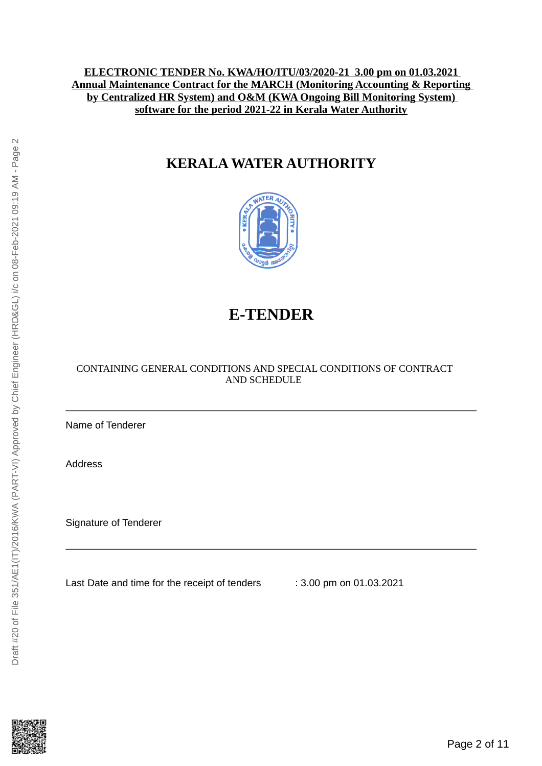### **ELECTRONIC TENDER No. KWA/HO/ITU/03/2020-21 3.00 pm on 01.03.2021 Annual Maintenance Contract for the MARCH (Monitoring Accounting & Reporting by Centralized HR System) and O&M (KWA Ongoing Bill Monitoring System) software for the period 2021-22 in Kerala Water Authority**

## **KERALA WATER AUTHORITY**



# **E-TENDER**

### CONTAINING GENERAL CONDITIONS AND SPECIAL CONDITIONS OF CONTRACT AND SCHEDULE

Name of Tenderer

Address

Signature of Tenderer

Last Date and time for the receipt of tenders : 3.00 pm on 01.03.2021

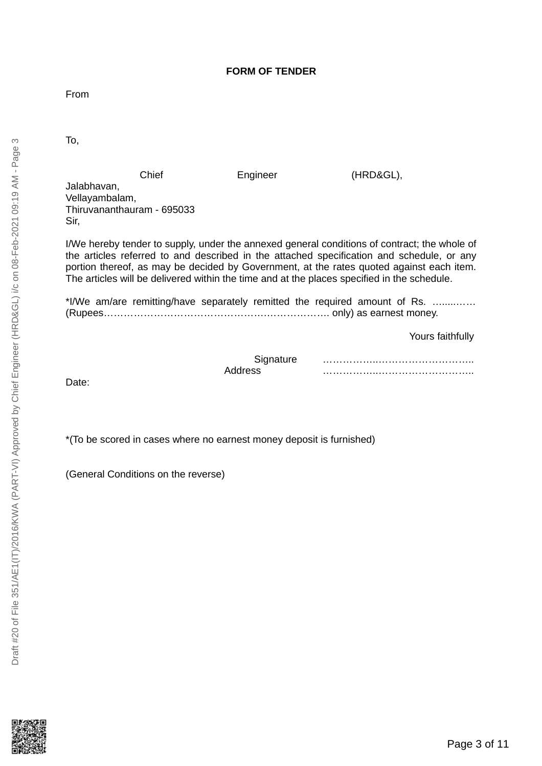### **FORM OF TENDER**

From

To,

Chief Engineer (HRD&GL),

Jalabhavan, Vellayambalam, Thiruvananthauram - 695033 Sir,

I/We hereby tender to supply, under the annexed general conditions of contract; the whole of the articles referred to and described in the attached specification and schedule, or any portion thereof, as may be decided by Government, at the rates quoted against each item. The articles will be delivered within the time and at the places specified in the schedule.

\*I/We am/are remitting/have separately remitted the required amount of Rs. ….....…… (Rupees………………………………………….………………. only) as earnest money.

Yours faithfully

| Signature |  |
|-----------|--|
| 22A1hhA   |  |

Date:

\*(To be scored in cases where no earnest money deposit is furnished)

(General Conditions on the reverse)

ന

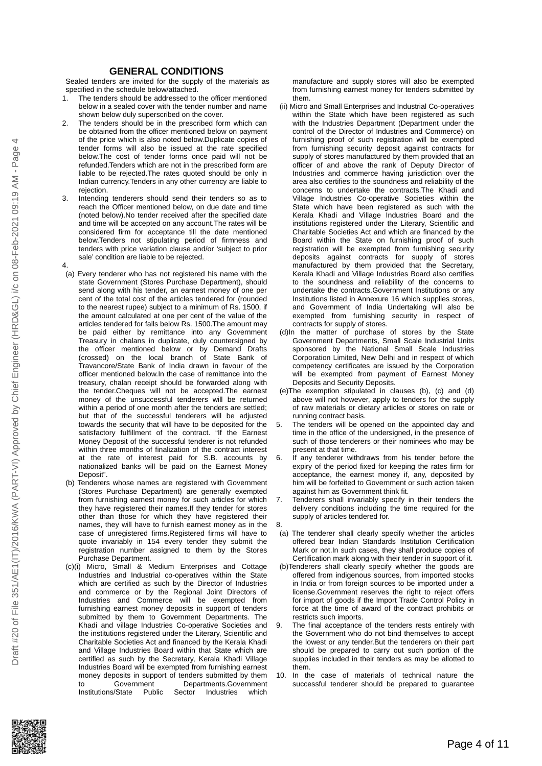#### **GENERAL CONDITIONS**

Sealed tenders are invited for the supply of the materials as specified in the schedule below/attached.<br>1 The tenders should be addressed to

- The tenders should be addressed to the officer mentioned below in a sealed cover with the tender number and name shown below duly superscribed on the cover.
- 2. The tenders should be in the prescribed form which can be obtained from the officer mentioned below on payment of the price which is also noted below.Duplicate copies of tender forms will also be issued at the rate specified below.The cost of tender forms once paid will not be refunded.Tenders which are not in the prescribed form are liable to be rejected.The rates quoted should be only in Indian currency.Tenders in any other currency are liable to rejection.
- 3. Intending tenderers should send their tenders so as to reach the Officer mentioned below, on due date and time (noted below).No tender received after the specified date and time will be accepted on any account.The rates will be considered firm for acceptance till the date mentioned below.Tenders not stipulating period of firmness and tenders with price variation clause and/or 'subject to prior sale' condition are liable to be rejected.
- 4. (a) Every tenderer who has not registered his name with the state Government (Stores Purchase Department), should send along with his tender, an earnest money of one per cent of the total cost of the articles tendered for (rounded to the nearest rupee) subject to a minimum of Rs. 1500, if the amount calculated at one per cent of the value of the articles tendered for falls below Rs. 1500.The amount may be paid either by remittance into any Government Treasury in chalans in duplicate, duly countersigned by the officer mentioned below or by Demand Drafts (crossed) on the local branch of State Bank of Travancore/State Bank of India drawn in favour of the officer mentioned below.In the case of remittance into the treasury, chalan receipt should be forwarded along with the tender.Cheques will not be accepted.The earnest money of the unsuccessful tenderers will be returned within a period of one month after the tenders are settled; but that of the successful tenderers will be adjusted towards the security that will have to be deposited for the satisfactory fulfillment of the contract. "If the Earnest Money Deposit of the successful tenderer is not refunded within three months of finalization of the contract interest at the rate of interest paid for S.B. accounts by nationalized banks will be paid on the Earnest Money Deposit".
- (b) Tenderers whose names are registered with Government (Stores Purchase Department) are generally exempted from furnishing earnest money for such articles for which they have registered their names.If they tender for stores other than those for which they have registered their names, they will have to furnish earnest money as in the case of unregistered firms.Registered firms will have to quote invariably in 154 every tender they submit the registration number assigned to them by the Stores Purchase Department.
- (c)(i) Micro, Small & Medium Enterprises and Cottage Industries and Industrial co-operatives within the State which are certified as such by the Director of Industries and commerce or by the Regional Joint Directors of Industries and Commerce will be exempted from furnishing earnest money deposits in support of tenders submitted by them to Government Departments. The Khadi and village Industries Co-operative Societies and the institutions registered under the Literary, Scientific and Charitable Societies Act and financed by the Kerala Khadi and Village Industries Board within that State which are certified as such by the Secretary, Kerala Khadi Village Industries Board will be exempted from furnishing earnest money deposits in support of tenders submitted by them<br>to Government Departments.Government to Government Departments.Government<br>Institutions/State Public Sector Industries which Industries which

manufacture and supply stores will also be exempted from furnishing earnest money for tenders submitted by them.

- (ii) Micro and Small Enterprises and Industrial Co-operatives within the State which have been registered as such with the Industries Department (Department under the control of the Director of Industries and Commerce) on furnishing proof of such registration will be exempted from furnishing security deposit against contracts for supply of stores manufactured by them provided that an officer of and above the rank of Deputy Director of Industries and commerce having jurisdiction over the area also certifies to the soundness and reliability of the concerns to undertake the contracts.The Khadi and Village Industries Co-operative Societies within the State which have been registered as such with the Kerala Khadi and Village Industries Board and the institutions registered under the Literary, Scientific and Charitable Societies Act and which are financed by the Board within the State on furnishing proof of such registration will be exempted from furnishing security deposits against contracts for supply of stores manufactured by them provided that the Secretary, Kerala Khadi and Village Industries Board also certifies to the soundness and reliability of the concerns to undertake the contracts.Government Institutions or any Institutions listed in Annexure 16 which supplies stores, and Government of India Undertaking will also be exempted from furnishing security in respect of contracts for supply of stores.
- (d)In the matter of purchase of stores by the State Government Departments, Small Scale Industrial Units sponsored by the National Small Scale Industries Corporation Limited, New Delhi and in respect of which competency certificates are issued by the Corporation will be exempted from payment of Earnest Money Deposits and Security Deposits.
- (e)The exemption stipulated in clauses (b), (c) and (d) above will not however, apply to tenders for the supply of raw materials or dietary articles or stores on rate or running contract basis.
- The tenders will be opened on the appointed day and time in the office of the undersigned, in the presence of such of those tenderers or their nominees who may be present at that time.
- 6. If any tenderer withdraws from his tender before the expiry of the period fixed for keeping the rates firm for acceptance, the earnest money if, any, deposited by him will be forfeited to Government or such action taken against him as Government think fit.
- 7. Tenderers shall invariably specify in their tenders the delivery conditions including the time required for the supply of articles tendered for.
- 8.
- (a) The tenderer shall clearly specify whether the articles offered bear Indian Standards Institution Certification Mark or not.In such cases, they shall produce copies of Certification mark along with their tender in support of it.
- (b)Tenderers shall clearly specify whether the goods are offered from indigenous sources, from imported stocks in India or from foreign sources to be imported under a license.Government reserves the right to reject offers for import of goods if the Import Trade Control Policy in force at the time of award of the contract prohibits or restricts such imports.
- The final acceptance of the tenders rests entirely with the Government who do not bind themselves to accept the lowest or any tender.But the tenderers on their part should be prepared to carry out such portion of the supplies included in their tenders as may be allotted to them.
- 10. In the case of materials of technical nature the successful tenderer should be prepared to guarantee

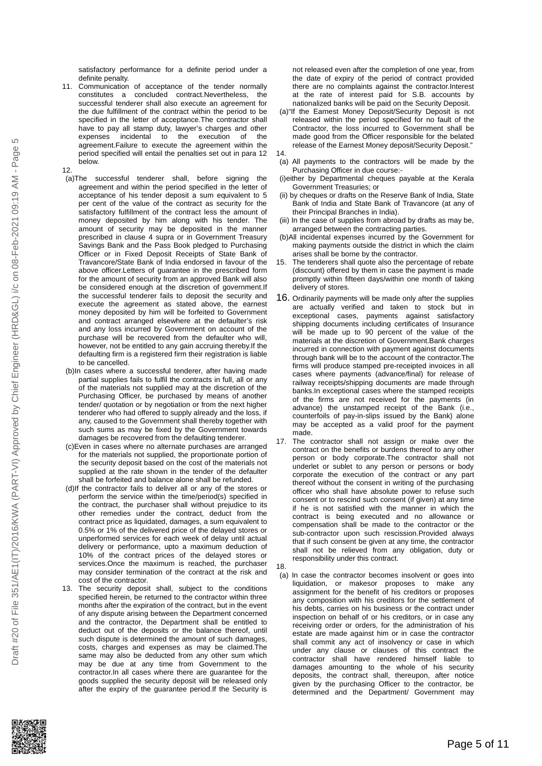- 11. Communication of acceptance of the tender normally constitutes a concluded contract.Nevertheless, the successful tenderer shall also execute an agreement for the due fulfillment of the contract within the period to be specified in the letter of acceptance.The contractor shall have to pay all stamp duty, lawyer's charges and other expenses incidental to the execution of the agreement.Failure to execute the agreement within the period specified will entail the penalties set out in para 12 below.
- 12. (a)The successful tenderer shall, before signing the agreement and within the period specified in the letter of acceptance of his tender deposit a sum equivalent to 5 per cent of the value of the contract as security for the satisfactory fulfillment of the contract less the amount of money deposited by him along with his tender. The amount of security may be deposited in the manner prescribed in clause 4 supra or in Government Treasury Savings Bank and the Pass Book pledged to Purchasing Officer or in Fixed Deposit Receipts of State Bank of Travancore/State Bank of India endorsed in favour of the above officer.Letters of guarantee in the prescribed form for the amount of security from an approved Bank will also be considered enough at the discretion of government.If the successful tenderer fails to deposit the security and execute the agreement as stated above, the earnest money deposited by him will be forfeited to Government and contract arranged elsewhere at the defaulter's risk and any loss incurred by Government on account of the purchase will be recovered from the defaulter who will, however, not be entitled to any gain accruing thereby.If the defaulting firm is a registered firm their registration is liable to be cancelled.
- (b)In cases where a successful tenderer, after having made partial supplies fails to fulfil the contracts in full, all or any of the materials not supplied may at the discretion of the Purchasing Officer, be purchased by means of another tender/ quotation or by negotiation or from the next higher tenderer who had offered to supply already and the loss, if any, caused to the Government shall thereby together with such sums as may be fixed by the Government towards damages be recovered from the defaulting tenderer.
- (c)Even in cases where no alternate purchases are arranged for the materials not supplied, the proportionate portion of the security deposit based on the cost of the materials not supplied at the rate shown in the tender of the defaulter shall be forfeited and balance alone shall be refunded.
- (d)If the contractor fails to deliver all or any of the stores or perform the service within the time/period(s) specified in the contract, the purchaser shall without prejudice to its other remedies under the contract, deduct from the contract price as liquidated, damages, a sum equivalent to 0.5% or 1% of the delivered price of the delayed stores or unperformed services for each week of delay until actual delivery or performance, upto a maximum deduction of 10% of the contract prices of the delayed stores or services.Once the maximum is reached, the purchaser may consider termination of the contract at the risk and cost of the contractor.
- 13. The security deposit shall, subject to the conditions specified herein, be returned to the contractor within three months after the expiration of the contract, but in the event of any dispute arising between the Department concerned and the contractor, the Department shall be entitled to deduct out of the deposits or the balance thereof, until such dispute is determined the amount of such damages. costs, charges and expenses as may be claimed.The same may also be deducted from any other sum which may be due at any time from Government to the contractor.In all cases where there are guarantee for the goods supplied the security deposit will be released only after the expiry of the guarantee period.If the Security is

not released even after the completion of one year, from the date of expiry of the period of contract provided there are no complaints against the contractor.Interest at the rate of interest paid for S.B. accounts by nationalized banks will be paid on the Security Deposit.

- (a)"If the Earnest Money Deposit/Security Deposit is not released within the period specified for no fault of the Contractor, the loss incurred to Government shall be made good from the Officer responsible for the belated release of the Earnest Money deposit/Security Deposit."
- 14.
- (a) All payments to the contractors will be made by the Purchasing Officer in due course:-
- (i)either by Departmental cheques payable at the Kerala Government Treasuries; or
- (ii) by cheques or drafts on the Reserve Bank of India, State Bank of India and State Bank of Travancore (at any of their Principal Branches in India).
- (iii) In the case of supplies from abroad by drafts as may be, arranged between the contracting parties.
- (b)All incidental expenses incurred by the Government for making payments outside the district in which the claim arises shall be borne by the contractor.
- 15. The tenderers shall quote also the percentage of rebate (discount) offered by them in case the payment is made promptly within fifteen days/within one month of taking delivery of stores.
- $16.$  Ordinarily payments will be made only after the supplies are actually verified and taken to stock but in exceptional cases, payments against satisfactory shipping documents including certificates of Insurance will be made up to 90 percent of the value of the materials at the discretion of Government.Bank charges incurred in connection with payment against documents through bank will be to the account of the contractor.The firms will produce stamped pre-receipted invoices in all cases where payments (advance/final) for release of railway receipts/shipping documents are made through banks.In exceptional cases where the stamped receipts of the firms are not received for the payments (in advance) the unstamped receipt of the Bank (i.e., counterfoils of pay-in-slips issued by the Bank) alone may be accepted as a valid proof for the payment made.
- 17. The contractor shall not assign or make over the contract on the benefits or burdens thereof to any other person or body corporate.The contractor shall not underlet or sublet to any person or persons or body corporate the execution of the contract or any part thereof without the consent in writing of the purchasing officer who shall have absolute power to refuse such consent or to rescind such consent (if given) at any time if he is not satisfied with the manner in which the contract is being executed and no allowance or compensation shall be made to the contractor or the sub-contractor upon such rescission.Provided always that if such consent be given at any time, the contractor shall not be relieved from any obligation, duty or responsibility under this contract.
- 18. (a) In case the contractor becomes insolvent or goes into liquidation, or makesor proposes to make any assignment for the benefit of his creditors or proposes any composition with his creditors for the settlement of his debts, carries on his business or the contract under inspection on behalf of or his creditors, or in case any receiving order or orders, for the administration of his estate are made against him or in case the contractor shall commit any act of insolvency or case in which under any clause or clauses of this contract the contractor shall have rendered himself liable to damages amounting to the whole of his security deposits, the contract shall, thereupon, after notice given by the purchasing Officer to the contractor, be determined and the Department/ Government may



Ю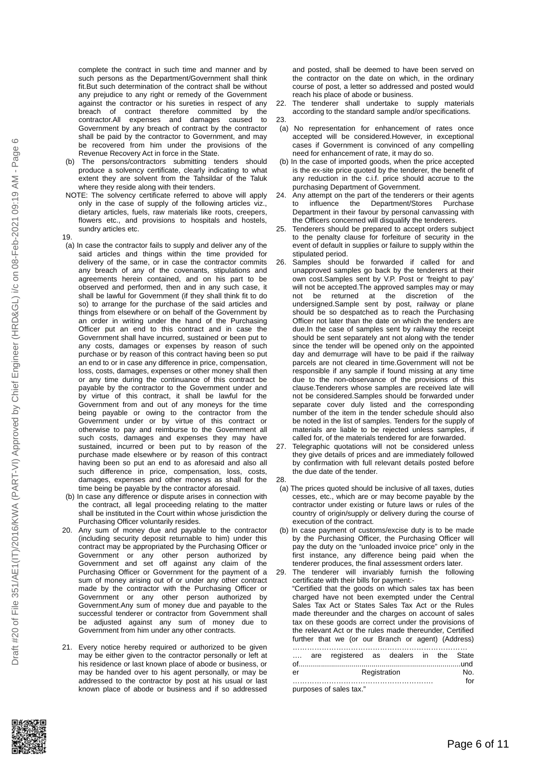complete the contract in such time and manner and by such persons as the Department/Government shall think fit.But such determination of the contract shall be without any prejudice to any right or remedy of the Government against the contractor or his sureties in respect of any breach of contract therefore committed by the contractor.All expenses and damages caused to Government by any breach of contract by the contractor shall be paid by the contractor to Government, and may be recovered from him under the provisions of the Revenue Recovery Act in force in the State.

- (b) The persons/contractors submitting tenders should produce a solvency certificate, clearly indicating to what extent they are solvent from the Tahsildar of the Taluk where they reside along with their tenders.
- NOTE: The solvency certificate referred to above will apply only in the case of supply of the following articles viz., dietary articles, fuels, raw materials like roots, creepers, flowers etc., and provisions to hospitals and hostels, sundry articles etc.
- 19.
- (a) In case the contractor fails to supply and deliver any of the said articles and things within the time provided for delivery of the same, or in case the contractor commits any breach of any of the covenants, stipulations and agreements herein contained, and on his part to be observed and performed, then and in any such case, it shall be lawful for Government (if they shall think fit to do so) to arrange for the purchase of the said articles and things from elsewhere or on behalf of the Government by an order in writing under the hand of the Purchasing Officer put an end to this contract and in case the Government shall have incurred, sustained or been put to any costs, damages or expenses by reason of such purchase or by reason of this contract having been so put an end to or in case any difference in price, compensation, loss, costs, damages, expenses or other money shall then or any time during the continuance of this contract be payable by the contractor to the Government under and by virtue of this contract, it shall be lawful for the Government from and out of any moneys for the time being payable or owing to the contractor from the Government under or by virtue of this contract or otherwise to pay and reimburse to the Government all such costs, damages and expenses they may have sustained, incurred or been put to by reason of the purchase made elsewhere or by reason of this contract having been so put an end to as aforesaid and also all such difference in price, compensation, loss, costs, damages, expenses and other moneys as shall for the time being be payable by the contractor aforesaid.
- (b) In case any difference or dispute arises in connection with the contract, all legal proceeding relating to the matter shall be instituted in the Court within whose jurisdiction the Purchasing Officer voluntarily resides.
- 20. Any sum of money due and payable to the contractor (including security deposit returnable to him) under this contract may be appropriated by the Purchasing Officer or Government or any other person authorized by Government and set off against any claim of the Purchasing Officer or Government for the payment of a sum of money arising out of or under any other contract made by the contractor with the Purchasing Officer or Government or any other person authorized by Government.Any sum of money due and payable to the successful tenderer or contractor from Government shall be adjusted against any sum of money due to Government from him under any other contracts.
- 21. Every notice hereby required or authorized to be given may be either given to the contractor personally or left at his residence or last known place of abode or business, or may be handed over to his agent personally, or may be addressed to the contractor by post at his usual or last known place of abode or business and if so addressed

and posted, shall be deemed to have been served on the contractor on the date on which, in the ordinary course of post, a letter so addressed and posted would reach his place of abode or business.

- 22. The tenderer shall undertake to supply materials according to the standard sample and/or specifications. 23.
- (a) No representation for enhancement of rates once accepted will be considered.However, in exceptional cases if Government is convinced of any compelling need for enhancement of rate, it may do so.
- (b) In the case of imported goods, when the price accepted is the ex-site price quoted by the tenderer, the benefit of any reduction in the c.i.f. price should accrue to the purchasing Department of Government.
- 24. Any attempt on the part of the tenderers or their agents to influence the Department/Stores Purchase Department in their favour by personal canvassing with the Officers concerned will disqualify the tenderers.
- 25. Tenderers should be prepared to accept orders subject to the penalty clause for forfeiture of security in the event of default in supplies or failure to supply within the stipulated period.
- 26. Samples should be forwarded if called for and unapproved samples go back by the tenderers at their own cost.Samples sent by V.P. Post or 'freight to pay' will not be accepted.The approved samples may or may<br>not be returned at the discretion of the not be returned at the discretion of the undersigned.Sample sent by post, railway or plane should be so despatched as to reach the Purchasing Officer not later than the date on which the tenders are due.In the case of samples sent by railway the receipt should be sent separately ant not along with the tender since the tender will be opened only on the appointed day and demurrage will have to be paid if the railway parcels are not cleared in time.Government will not be responsible if any sample if found missing at any time due to the non-observance of the provisions of this clause.Tenderers whose samples are received late will not be considered.Samples should be forwarded under separate cover duly listed and the corresponding number of the item in the tender schedule should also be noted in the list of samples. Tenders for the supply of materials are liable to be rejected unless samples, if called for, of the materials tendered for are forwarded.
- 27. Telegraphic quotations will not be considered unless they give details of prices and are immediately followed by confirmation with full relevant details posted before the due date of the tender.
- 28.
- (a) The prices quoted should be inclusive of all taxes, duties cesses, etc., which are or may become payable by the contractor under existing or future laws or rules of the country of origin/supply or delivery during the course of execution of the contract.
- (b) In case payment of customs/excise duty is to be made by the Purchasing Officer, the Purchasing Officer will pay the duty on the "unloaded invoice price" only in the first instance, any difference being paid when the tenderer produces, the final assessment orders later.

29. The tenderer will invariably furnish the following certificate with their bills for payment:- "Certified that the goods on which sales tax has been charged have not been exempted under the Central Sales Tax Act or States Sales Tax Act or the Rules made thereunder and the charges on account of sales tax on these goods are correct under the provisions of the relevant Act or the rules made thereunder, Certified further that we (or our Branch or agent) (Address) ……………………………………………………………………

|    | are registered as dealers in the State |              |  |     |
|----|----------------------------------------|--------------|--|-----|
|    |                                        |              |  |     |
| er |                                        | Registration |  | No. |
|    |                                        |              |  | f∩r |

purposes of sales tax."

 $\circ$ 

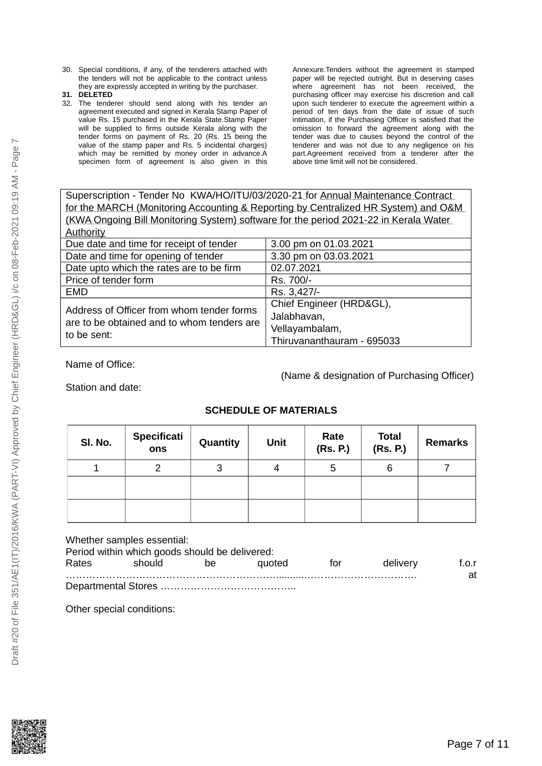- 30. Special conditions, if any, of the tenderers attached with the tenders will not be applicable to the contract unless they are expressly accepted in writing by the purchaser.
- **31. DELETED**
- 32. The tenderer should send along with his tender an agreement executed and signed in Kerala Stamp Paper of value Rs. 15 purchased in the Kerala State.Stamp Paper will be supplied to firms outside Kerala along with the tender forms on payment of Rs. 20 (Rs. 15 being the value of the stamp paper and Rs. 5 incidental charges) which may be remitted by money order in advance.A specimen form of agreement is also given in this

Annexure.Tenders without the agreement in stamped paper will be rejected outright. But in deserving cases where agreement has not been received, the purchasing officer may exercise his discretion and call upon such tenderer to execute the agreement within a period of ten days from the date of issue of such intimation, if the Purchasing Officer is satisfied that the omission to forward the agreement along with the tender was due to causes beyond the control of the tenderer and was not due to any negligence on his part.Agreement received from a tenderer after the above time limit will not be considered.

Superscription - Tender No KWA/HO/ITU/03/2020-21 for Annual Maintenance Contract for the MARCH (Monitoring Accounting & Reporting by Centralized HR System) and O&M (KWA Ongoing Bill Monitoring System) software for the period 2021-22 in Kerala Water Authority

| Due date and time for receipt of tender    | 3.00 pm on 01.03.2021      |
|--------------------------------------------|----------------------------|
| Date and time for opening of tender        | 3.30 pm on 03.03.2021      |
| Date upto which the rates are to be firm   | 02.07.2021                 |
| Price of tender form                       | Rs. 700/-                  |
| <b>EMD</b>                                 | Rs. 3,427/-                |
| Address of Officer from whom tender forms  | Chief Engineer (HRD&GL),   |
| are to be obtained and to whom tenders are | Jalabhavan,                |
|                                            | Vellayambalam,             |
| to be sent:                                | Thiruvananthauram - 695033 |

Name of Office:

(Name & designation of Purchasing Officer)

Station and date:

### **SCHEDULE OF MATERIALS**

| SI. No. | Specificati<br>ons | Quantity | <b>Unit</b> | Rate<br>(Rs. P.) | <b>Total</b><br>(Rs. P.) | <b>Remarks</b> |
|---------|--------------------|----------|-------------|------------------|--------------------------|----------------|
|         | ⌒                  | 3        |             | 5                |                          |                |
|         |                    |          |             |                  |                          |                |
|         |                    |          |             |                  |                          |                |

Whether samples essential:

|       | Period within which goods should be delivered: |    |        |     |          |             |
|-------|------------------------------------------------|----|--------|-----|----------|-------------|
| Rates | should                                         | be | auoted | tor | delivery | f.o.r<br>at |
|       |                                                |    |        |     |          |             |

Other special conditions:

Draft #20 of File 351/AE1(IT)/2016/KWA (PART-VI) Approved by Chief Engineer (HRD&GL) i/c on 08-Feb-2021 09:19 AM - Page 7

Draft #20 of File 351/AE1(IT)/2016/KWA (PART-VI) Approved by Chief Engineer (HRD&GL) i/c on 08-Feb-2021 09:19 AM - Page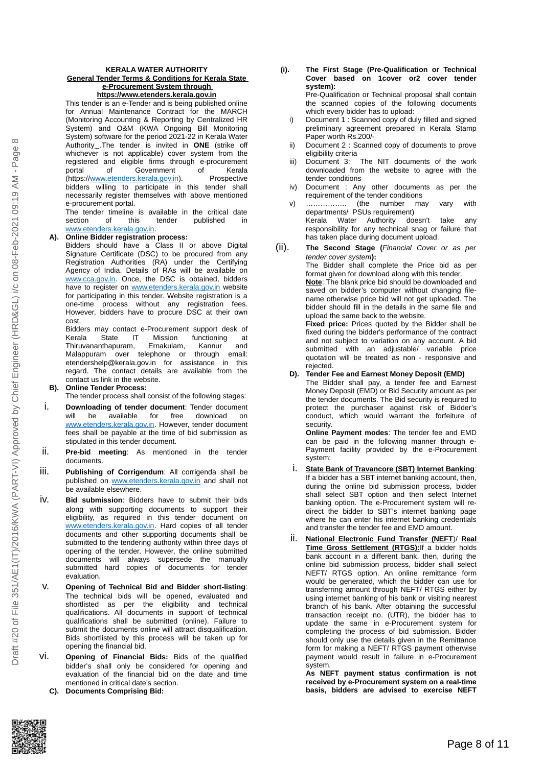#### **KERALA WATER AUTHORITY General Tender Terms & Conditions for Kerala State e-Procurement System through**

**https://www.etenders.kerala.gov.in**

This tender is an e-Tender and is being published online for Annual Maintenance Contract for the MARCH (Monitoring Accounting & Reporting by Centralized HR System) and O&M (KWA Ongoing Bill Monitoring System) software for the period 2021-22 in Kerala Water Authority .The tender is invited in **ONE** (strike off whichever is not applicable) cover system from the registered and eligible firms through e-procurement<br>portal of Government of Kerala of Government of Kerala (https:/[/www.etenders.kerala.gov.in\)](http://www.etenders.kerala.gov.in/). Prospective bidders willing to participate in this tender shall necessarily register themselves with above mentioned e-procurement portal.

The tender timeline is available in the critical date section of this tender published in [www.etenders.kerala.gov.in.](http://www.etenders.kerala.gov.in/)

#### **A). Online Bidder registration process:**

- Bidders should have a Class II or above Digital Signature Certificate (DSC) to be procured from any Registration Authorities (RA) under the Certifying Agency of India. Details of RAs will be available on [www.cca.gov.in.](http://www.cca.gov.in/) Once, the DSC is obtained, bidders have to register on [www.etenders.kerala.gov.in](http://www.etenders.kerala.gov.in/) website for participating in this tender. Website registration is a one-time process without any registration fees. However, bidders have to procure DSC at their own cost.
- Bidders may contact e-Procurement support desk of<br>Kerala State IT Mission functioning at IT Mission functioning at Thiruvananthapuram, Ernakulam, Kannur and Malappuram over telephone or through email: etendershelp@kerala.gov.in for assistance in this regard. The contact details are available from the contact us link in the website.

#### **B). Online Tender Process:**

The tender process shall consist of the following stages:

- i. **Downloading of tender document**: Tender document will be available for free download on [www.etenders.kerala.gov.in.](http://www.etenders.kerala.gov.in/) However, tender document fees shall be payable at the time of bid submission as stipulated in this tender document.
- ii. **Pre-bid meeting**: As mentioned in the tender documents.
- iii. **Publishing of Corrigendum**: All corrigenda shall be published on [www.etenders.kerala.gov.in](http://www.etenders.kerala.gov.in/) and shall not be available elsewhere.
- iv. **Bid submission**: Bidders have to submit their bids along with supporting documents to support their eligibility, as required in this tender document on [www.etenders.kerala.gov.in.](http://www.etenders.kerala.gov.in/) Hard copies of all tender documents and other supporting documents shall be submitted to the tendering authority within three days of opening of the tender. However, the online submitted documents will always supersede the manually submitted hard copies of documents for tender evaluation.
- v. **Opening of Technical Bid and Bidder short-listing**: The technical bids will be opened, evaluated and shortlisted as per the eligibility and technical qualifications. All documents in support of technical qualifications shall be submitted (online). Failure to submit the documents online will attract disqualification. Bids shortlisted by this process will be taken up for opening the financial bid.
- vi. **Opening of Financial Bids:** Bids of the qualified bidder's shall only be considered for opening and evaluation of the financial bid on the date and time mentioned in critical date's section.
	- **C). Documents Comprising Bid:**

#### **(i). The First Stage (Pre-Qualification or Technical Cover based on 1cover or2 cover tender system):** Pre-Qualification or Technical proposal shall contain

the scanned copies of the following documents which every bidder has to upload:

- i) Document 1 : Scanned copy of duly filled and signed preliminary agreement prepared in Kerala Stamp Paper worth Rs.200/-
- ii) Document 2 : Scanned copy of documents to prove eligibility criteria
- iii) Document 3: The NIT documents of the work downloaded from the website to agree with the tender conditions
- iv) Document : Any other documents as per the requirement of the tender conditions
- v) …………….. (the number may vary with departments/ PSUs requirement)<br>Kerala Water Authority doesn't Kerala Water Authority doesn't take any
- responsibility for any technical snag or failure that has taken place during document upload.
- (ii). **The Second Stage (***Financial Cover or as per tender cover system***):**

The Bidder shall complete the Price bid as per format given for download along with this tender.

**Note**: The blank price bid should be downloaded and saved on bidder's computer without changing filename otherwise price bid will not get uploaded. The bidder should fill in the details in the same file and upload the same back to the website.

**Fixed price:** Prices quoted by the Bidder shall be fixed during the bidder's performance of the contract and not subject to variation on any account. A bid submitted with an adjustable/ variable price quotation will be treated as non - responsive and rejected.

**D). Tender Fee and Earnest Money Deposit (EMD)**

The Bidder shall pay, a tender fee and Earnest Money Deposit (EMD) or Bid Security amount as per the tender documents. The Bid security is required to protect the purchaser against risk of Bidder's conduct, which would warrant the forfeiture of security.

**Online Payment modes**: The tender fee and EMD can be paid in the following manner through e-Payment facility provided by the e-Procurement system:

- i. **State Bank of Travancore (SBT) Internet Banking**: If a bidder has a SBT internet banking account, then, during the online bid submission process, bidder shall select SBT option and then select Internet banking option. The e-Procurement system will redirect the bidder to SBT's internet banking page where he can enter his internet banking credentials and transfer the tender fee and EMD amount.
- **National Electronic Fund Transfer (NEFT)/ Real Time Gross Settlement (RTGS):**If a bidder holds bank account in a different bank, then, during the online bid submission process, bidder shall select NEFT/ RTGS option. An online remittance form would be generated, which the bidder can use for transferring amount through NEFT/ RTGS either by using internet banking of his bank or visiting nearest branch of his bank. After obtaining the successful transaction receipt no. (UTR), the bidder has to update the same in e-Procurement system for completing the process of bid submission. Bidder should only use the details given in the Remittance form for making a NEFT/ RTGS payment otherwise payment would result in failure in e-Procurement system.

**As NEFT payment status confirmation is not received by e-Procurement system on a real-time basis, bidders are advised to exercise NEFT**

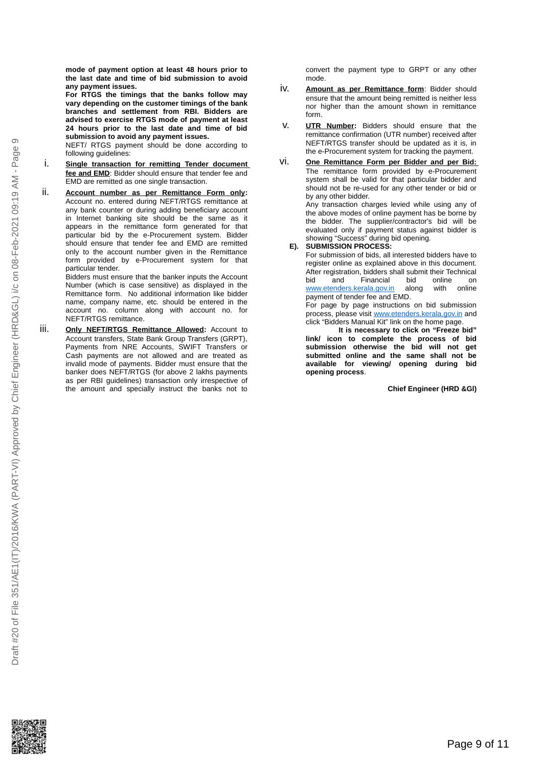$\infty$ 

**mode of payment option at least 48 hours prior to the last date and time of bid submission to avoid any payment issues.**

**For RTGS the timings that the banks follow may vary depending on the customer timings of the bank branches and settlement from RBI. Bidders are advised to exercise RTGS mode of payment at least 24 hours prior to the last date and time of bid submission to avoid any payment issues.**

NEFT/ RTGS payment should be done according to following guidelines:

- i. **Single transaction for remitting Tender document fee and EMD**: Bidder should ensure that tender fee and EMD are remitted as one single transaction.
- ii. **Account number as per Remittance Form only:** Account no. entered during NEFT/RTGS remittance at any bank counter or during adding beneficiary account in Internet banking site should be the same as it appears in the remittance form generated for that particular bid by the e-Procurement system. Bidder should ensure that tender fee and EMD are remitted only to the account number given in the Remittance form provided by e-Procurement system for that particular tender.

Bidders must ensure that the banker inputs the Account Number (which is case sensitive) as displayed in the Remittance form. No additional information like bidder name, company name, etc. should be entered in the account no. column along with account no. for NEFT/RTGS remittance.

iii. **Only NEFT/RTGS Remittance Allowed:** Account to Account transfers, State Bank Group Transfers (GRPT), Payments from NRE Accounts, SWIFT Transfers or Cash payments are not allowed and are treated as invalid mode of payments. Bidder must ensure that the banker does NEFT/RTGS (for above 2 lakhs payments as per RBI guidelines) transaction only irrespective of the amount and specially instruct the banks not to

convert the payment type to GRPT or any other mode.

- iv. **Amount as per Remittance form**: Bidder should ensure that the amount being remitted is neither less nor higher than the amount shown in remittance form.
- v. **UTR Number:** Bidders should ensure that the remittance confirmation (UTR number) received after NEFT/RTGS transfer should be updated as it is, in the e-Procurement system for tracking the payment.
- vi. **One Remittance Form per Bidder and per Bid:** The remittance form provided by e-Procurement system shall be valid for that particular bidder and should not be re-used for any other tender or bid or by any other bidder.

Any transaction charges levied while using any of the above modes of online payment has be borne by the bidder. The supplier/contractor's bid will be evaluated only if payment status against bidder is showing "Success" during bid opening.

#### **E). SUBMISSION PROCESS:**

For submission of bids, all interested bidders have to register online as explained above in this document. After registration, bidders shall submit their Technical bid and Financial bid online on [www.etenders.kerala.gov.in](http://www.etenders.kerala.gov.in/) along with online payment of tender fee and EMD.

For page by page instructions on bid submission process, please visit [www.etenders.kerala.gov.in](http://www.etenders.kerala.gov.in/) and click "Bidders Manual Kit" link on the home page.

**It is necessary to click on "Freeze bid" link/ icon to complete the process of bid submission otherwise the bid will not get submitted online and the same shall not be available for viewing/ opening during bid opening process**.

**Chief Engineer (HRD &Gl)**

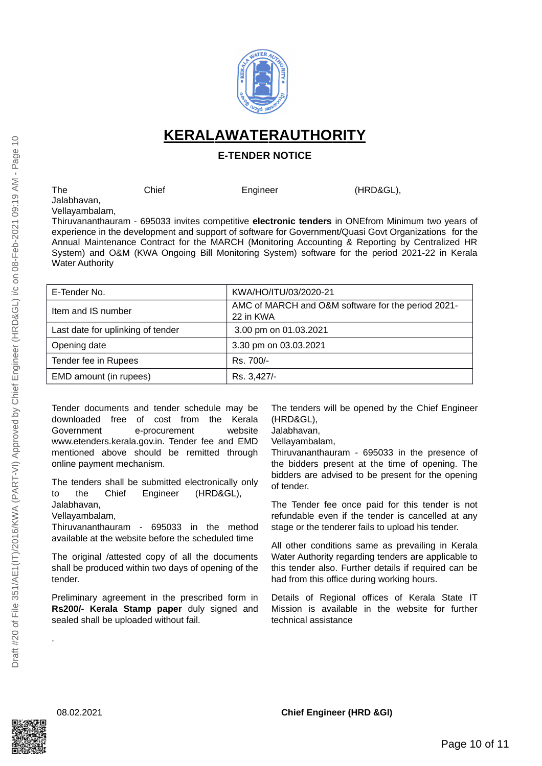

 **KERALA WATER AUTHORITY**

### **E-TENDER NOTICE**

The Chief Engineer (HRD&GL), Jalabhavan,

Vellayambalam, Thiruvananthauram - 695033 invites competitive **electronic tenders** in ONEfrom Minimum two years of experience in the development and support of software for Government/Quasi Govt Organizations for the Annual Maintenance Contract for the MARCH (Monitoring Accounting & Reporting by Centralized HR System) and O&M (KWA Ongoing Bill Monitoring System) software for the period 2021-22 in Kerala Water Authority

| E-Tender No.                      | KWA/HO/ITU/03/2020-21                                           |
|-----------------------------------|-----------------------------------------------------------------|
| Item and IS number                | AMC of MARCH and O&M software for the period 2021-<br>22 in KWA |
| Last date for uplinking of tender | 3.00 pm on 01.03.2021                                           |
| Opening date                      | 3.30 pm on 03.03.2021                                           |
| Tender fee in Rupees              | Rs. 700/-                                                       |
| EMD amount (in rupees)            | Rs. 3,427/-                                                     |

Tender documents and tender schedule may be downloaded free of cost from the Kerala Government e-procurement website www.etenders.kerala.gov.in. Tender fee and EMD mentioned above should be remitted through online payment mechanism.

The tenders shall be submitted electronically only to the Chief Engineer (HRD&GL), Jalabhavan,

Vellayambalam,

Thiruvananthauram - 695033 in the method available at the website before the scheduled time

The original /attested copy of all the documents shall be produced within two days of opening of the tender.

Preliminary agreement in the prescribed form in **Rs200/- Kerala Stamp paper** duly signed and sealed shall be uploaded without fail.

The tenders will be opened by the Chief Engineer (HRD&GL),

Jalabhavan,

Vellayambalam,

Thiruvananthauram - 695033 in the presence of the bidders present at the time of opening. The bidders are advised to be present for the opening of tender.

The Tender fee once paid for this tender is not refundable even if the tender is cancelled at any stage or the tenderer fails to upload his tender.

All other conditions same as prevailing in Kerala Water Authority regarding tenders are applicable to this tender also. Further details if required can be had from this office during working hours.

Details of Regional offices of Kerala State IT Mission is available in the website for further technical assistance



.